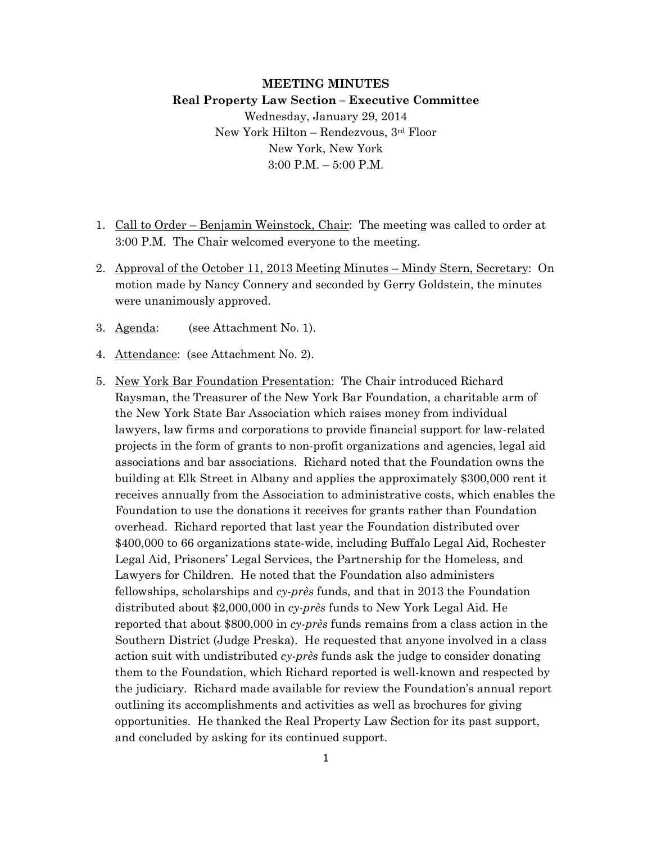# **MEETING MINUTES Real Property Law Section – Executive Committee** Wednesday, January 29, 2014

New York Hilton – Rendezvous, 3rd Floor New York, New York 3:00 P.M. – 5:00 P.M.

- 1. Call to Order Benjamin Weinstock, Chair: The meeting was called to order at 3:00 P.M. The Chair welcomed everyone to the meeting.
- 2. Approval of the October 11, 2013 Meeting Minutes Mindy Stern, Secretary: On motion made by Nancy Connery and seconded by Gerry Goldstein, the minutes were unanimously approved.
- 3. Agenda: (see Attachment No. 1).
- 4. Attendance: (see Attachment No. 2).
- 5. New York Bar Foundation Presentation: The Chair introduced Richard Raysman, the Treasurer of the New York Bar Foundation, a charitable arm of the New York State Bar Association which raises money from individual lawyers, law firms and corporations to provide financial support for law-related projects in the form of grants to non-profit organizations and agencies, legal aid associations and bar associations. Richard noted that the Foundation owns the building at Elk Street in Albany and applies the approximately \$300,000 rent it receives annually from the Association to administrative costs, which enables the Foundation to use the donations it receives for grants rather than Foundation overhead. Richard reported that last year the Foundation distributed over \$400,000 to 66 organizations state-wide, including Buffalo Legal Aid, Rochester Legal Aid, Prisoners' Legal Services, the Partnership for the Homeless, and Lawyers for Children. He noted that the Foundation also administers fellowships, scholarships and *cy-près* funds, and that in 2013 the Foundation distributed about \$2,000,000 in *cy-près* funds to New York Legal Aid. He reported that about \$800,000 in *cy-près* funds remains from a class action in the Southern District (Judge Preska). He requested that anyone involved in a class action suit with undistributed *cy-près* funds ask the judge to consider donating them to the Foundation, which Richard reported is well-known and respected by the judiciary. Richard made available for review the Foundation's annual report outlining its accomplishments and activities as well as brochures for giving opportunities. He thanked the Real Property Law Section for its past support, and concluded by asking for its continued support.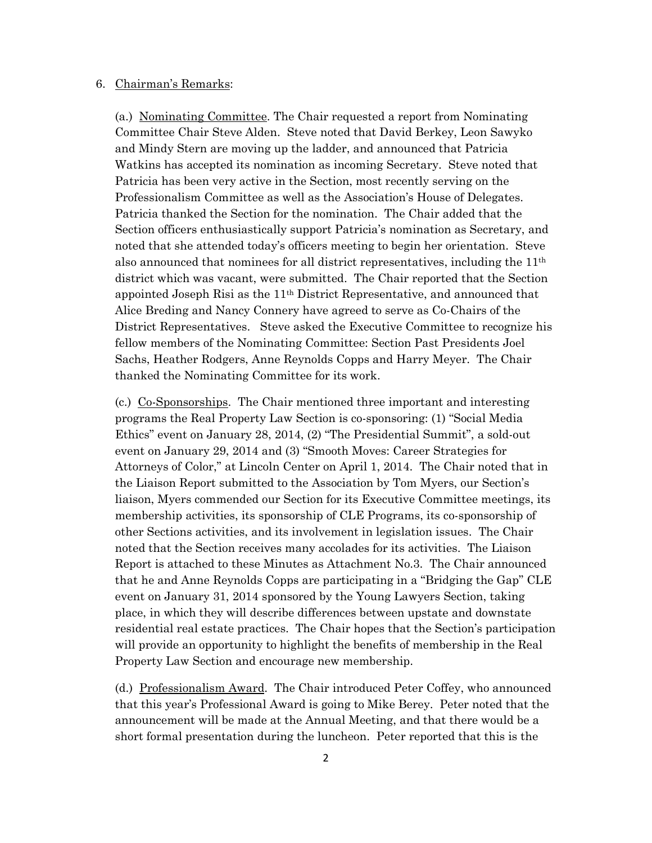#### 6. Chairman's Remarks:

(a.) Nominating Committee. The Chair requested a report from Nominating Committee Chair Steve Alden. Steve noted that David Berkey, Leon Sawyko and Mindy Stern are moving up the ladder, and announced that Patricia Watkins has accepted its nomination as incoming Secretary. Steve noted that Patricia has been very active in the Section, most recently serving on the Professionalism Committee as well as the Association's House of Delegates. Patricia thanked the Section for the nomination. The Chair added that the Section officers enthusiastically support Patricia's nomination as Secretary, and noted that she attended today's officers meeting to begin her orientation. Steve also announced that nominees for all district representatives, including the 11th district which was vacant, were submitted. The Chair reported that the Section appointed Joseph Risi as the 11th District Representative, and announced that Alice Breding and Nancy Connery have agreed to serve as Co-Chairs of the District Representatives. Steve asked the Executive Committee to recognize his fellow members of the Nominating Committee: Section Past Presidents Joel Sachs, Heather Rodgers, Anne Reynolds Copps and Harry Meyer. The Chair thanked the Nominating Committee for its work.

(c.) Co-Sponsorships. The Chair mentioned three important and interesting programs the Real Property Law Section is co-sponsoring: (1) "Social Media Ethics" event on January 28, 2014, (2) "The Presidential Summit", a sold-out event on January 29, 2014 and (3) "Smooth Moves: Career Strategies for Attorneys of Color," at Lincoln Center on April 1, 2014. The Chair noted that in the Liaison Report submitted to the Association by Tom Myers, our Section's liaison, Myers commended our Section for its Executive Committee meetings, its membership activities, its sponsorship of CLE Programs, its co-sponsorship of other Sections activities, and its involvement in legislation issues. The Chair noted that the Section receives many accolades for its activities. The Liaison Report is attached to these Minutes as Attachment No.3. The Chair announced that he and Anne Reynolds Copps are participating in a "Bridging the Gap" CLE event on January 31, 2014 sponsored by the Young Lawyers Section, taking place, in which they will describe differences between upstate and downstate residential real estate practices. The Chair hopes that the Section's participation will provide an opportunity to highlight the benefits of membership in the Real Property Law Section and encourage new membership.

(d.) Professionalism Award. The Chair introduced Peter Coffey, who announced that this year's Professional Award is going to Mike Berey. Peter noted that the announcement will be made at the Annual Meeting, and that there would be a short formal presentation during the luncheon. Peter reported that this is the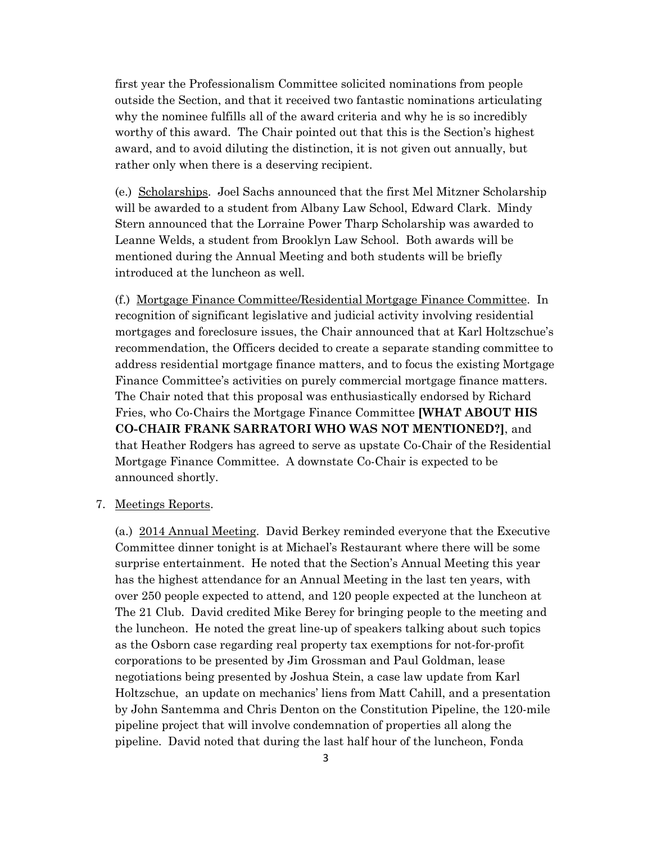first year the Professionalism Committee solicited nominations from people outside the Section, and that it received two fantastic nominations articulating why the nominee fulfills all of the award criteria and why he is so incredibly worthy of this award. The Chair pointed out that this is the Section's highest award, and to avoid diluting the distinction, it is not given out annually, but rather only when there is a deserving recipient.

(e.) Scholarships. Joel Sachs announced that the first Mel Mitzner Scholarship will be awarded to a student from Albany Law School, Edward Clark. Mindy Stern announced that the Lorraine Power Tharp Scholarship was awarded to Leanne Welds, a student from Brooklyn Law School. Both awards will be mentioned during the Annual Meeting and both students will be briefly introduced at the luncheon as well.

(f.) Mortgage Finance Committee/Residential Mortgage Finance Committee. In recognition of significant legislative and judicial activity involving residential mortgages and foreclosure issues, the Chair announced that at Karl Holtzschue's recommendation, the Officers decided to create a separate standing committee to address residential mortgage finance matters, and to focus the existing Mortgage Finance Committee's activities on purely commercial mortgage finance matters. The Chair noted that this proposal was enthusiastically endorsed by Richard Fries, who Co-Chairs the Mortgage Finance Committee **[WHAT ABOUT HIS CO-CHAIR FRANK SARRATORI WHO WAS NOT MENTIONED?]**, and that Heather Rodgers has agreed to serve as upstate Co-Chair of the Residential Mortgage Finance Committee. A downstate Co-Chair is expected to be announced shortly.

#### 7. Meetings Reports.

(a.) 2014 Annual Meeting. David Berkey reminded everyone that the Executive Committee dinner tonight is at Michael's Restaurant where there will be some surprise entertainment. He noted that the Section's Annual Meeting this year has the highest attendance for an Annual Meeting in the last ten years, with over 250 people expected to attend, and 120 people expected at the luncheon at The 21 Club. David credited Mike Berey for bringing people to the meeting and the luncheon. He noted the great line-up of speakers talking about such topics as the Osborn case regarding real property tax exemptions for not-for-profit corporations to be presented by Jim Grossman and Paul Goldman, lease negotiations being presented by Joshua Stein, a case law update from Karl Holtzschue, an update on mechanics' liens from Matt Cahill, and a presentation by John Santemma and Chris Denton on the Constitution Pipeline, the 120-mile pipeline project that will involve condemnation of properties all along the pipeline. David noted that during the last half hour of the luncheon, Fonda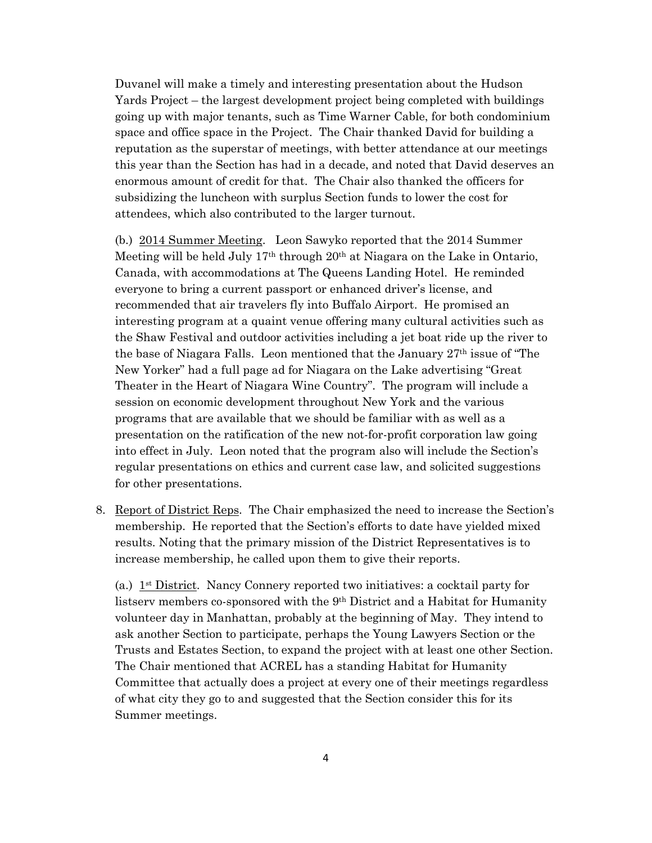Duvanel will make a timely and interesting presentation about the Hudson Yards Project – the largest development project being completed with buildings going up with major tenants, such as Time Warner Cable, for both condominium space and office space in the Project. The Chair thanked David for building a reputation as the superstar of meetings, with better attendance at our meetings this year than the Section has had in a decade, and noted that David deserves an enormous amount of credit for that. The Chair also thanked the officers for subsidizing the luncheon with surplus Section funds to lower the cost for attendees, which also contributed to the larger turnout.

(b.) 2014 Summer Meeting. Leon Sawyko reported that the 2014 Summer Meeting will be held July  $17<sup>th</sup>$  through  $20<sup>th</sup>$  at Niagara on the Lake in Ontario, Canada, with accommodations at The Queens Landing Hotel. He reminded everyone to bring a current passport or enhanced driver's license, and recommended that air travelers fly into Buffalo Airport. He promised an interesting program at a quaint venue offering many cultural activities such as the Shaw Festival and outdoor activities including a jet boat ride up the river to the base of Niagara Falls. Leon mentioned that the January  $27<sup>th</sup>$  issue of "The New Yorker" had a full page ad for Niagara on the Lake advertising "Great Theater in the Heart of Niagara Wine Country". The program will include a session on economic development throughout New York and the various programs that are available that we should be familiar with as well as a presentation on the ratification of the new not-for-profit corporation law going into effect in July. Leon noted that the program also will include the Section's regular presentations on ethics and current case law, and solicited suggestions for other presentations.

8. Report of District Reps. The Chair emphasized the need to increase the Section's membership. He reported that the Section's efforts to date have yielded mixed results. Noting that the primary mission of the District Representatives is to increase membership, he called upon them to give their reports.

(a.)  $1<sup>st</sup> District. Nancy Connery reported two initiatives: a cocktail party for$ listserv members co-sponsored with the 9th District and a Habitat for Humanity volunteer day in Manhattan, probably at the beginning of May. They intend to ask another Section to participate, perhaps the Young Lawyers Section or the Trusts and Estates Section, to expand the project with at least one other Section. The Chair mentioned that ACREL has a standing Habitat for Humanity Committee that actually does a project at every one of their meetings regardless of what city they go to and suggested that the Section consider this for its Summer meetings.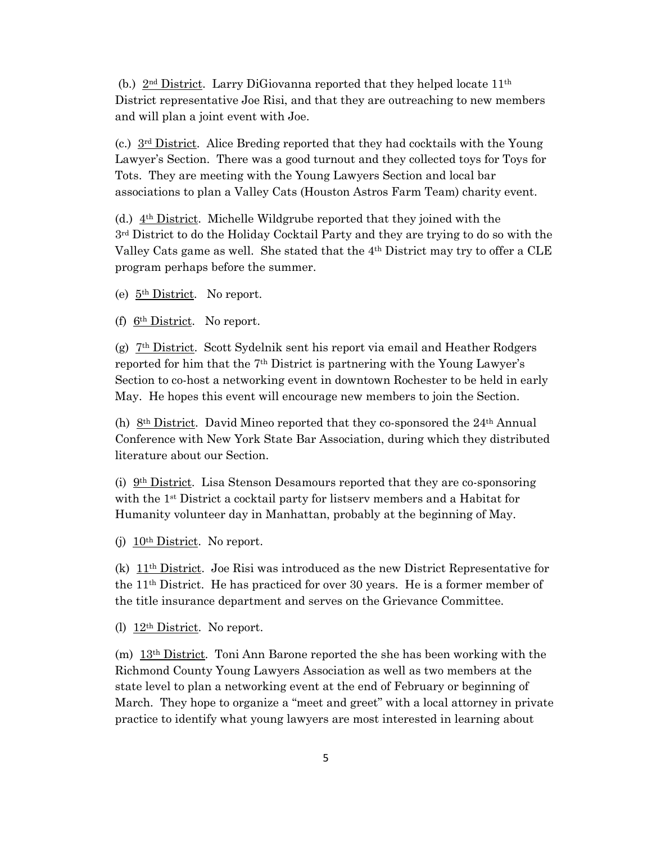(b.)  $2<sup>nd</sup> District$ . Larry DiGiovanna reported that they helped locate  $11<sup>th</sup>$ District representative Joe Risi, and that they are outreaching to new members and will plan a joint event with Joe.

(c.)  $3<sup>rd</sup>$  District. Alice Breding reported that they had cocktails with the Young Lawyer's Section. There was a good turnout and they collected toys for Toys for Tots. They are meeting with the Young Lawyers Section and local bar associations to plan a Valley Cats (Houston Astros Farm Team) charity event.

(d.) 4th District. Michelle Wildgrube reported that they joined with the 3rd District to do the Holiday Cocktail Party and they are trying to do so with the Valley Cats game as well. She stated that the  $4<sup>th</sup>$  District may try to offer a CLE program perhaps before the summer.

(e) 5th District. No report.

(f)  $6<sup>th</sup> District. No report.$ 

(g) 7th District. Scott Sydelnik sent his report via email and Heather Rodgers reported for him that the 7th District is partnering with the Young Lawyer's Section to co-host a networking event in downtown Rochester to be held in early May. He hopes this event will encourage new members to join the Section.

(h) 8<sup>th</sup> District. David Mineo reported that they co-sponsored the  $24<sup>th</sup>$  Annual Conference with New York State Bar Association, during which they distributed literature about our Section.

(i) 9th District. Lisa Stenson Desamours reported that they are co-sponsoring with the 1st District a cocktail party for listserv members and a Habitat for Humanity volunteer day in Manhattan, probably at the beginning of May.

(j)  $10<sup>th</sup> District. No report.$ 

(k) 11th District. Joe Risi was introduced as the new District Representative for the 11th District. He has practiced for over 30 years. He is a former member of the title insurance department and serves on the Grievance Committee.

(1)  $12<sup>th</sup> District. No report.$ 

(m) 13th District. Toni Ann Barone reported the she has been working with the Richmond County Young Lawyers Association as well as two members at the state level to plan a networking event at the end of February or beginning of March. They hope to organize a "meet and greet" with a local attorney in private practice to identify what young lawyers are most interested in learning about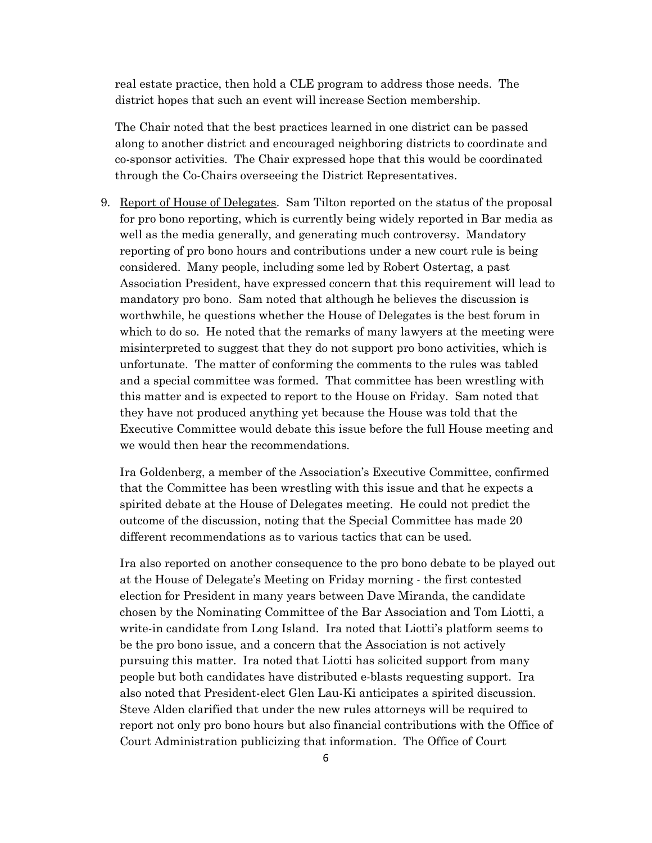real estate practice, then hold a CLE program to address those needs. The district hopes that such an event will increase Section membership.

The Chair noted that the best practices learned in one district can be passed along to another district and encouraged neighboring districts to coordinate and co-sponsor activities. The Chair expressed hope that this would be coordinated through the Co-Chairs overseeing the District Representatives.

9. Report of House of Delegates. Sam Tilton reported on the status of the proposal for pro bono reporting, which is currently being widely reported in Bar media as well as the media generally, and generating much controversy. Mandatory reporting of pro bono hours and contributions under a new court rule is being considered. Many people, including some led by Robert Ostertag, a past Association President, have expressed concern that this requirement will lead to mandatory pro bono. Sam noted that although he believes the discussion is worthwhile, he questions whether the House of Delegates is the best forum in which to do so. He noted that the remarks of many lawyers at the meeting were misinterpreted to suggest that they do not support pro bono activities, which is unfortunate. The matter of conforming the comments to the rules was tabled and a special committee was formed. That committee has been wrestling with this matter and is expected to report to the House on Friday. Sam noted that they have not produced anything yet because the House was told that the Executive Committee would debate this issue before the full House meeting and we would then hear the recommendations.

Ira Goldenberg, a member of the Association's Executive Committee, confirmed that the Committee has been wrestling with this issue and that he expects a spirited debate at the House of Delegates meeting. He could not predict the outcome of the discussion, noting that the Special Committee has made 20 different recommendations as to various tactics that can be used.

Ira also reported on another consequence to the pro bono debate to be played out at the House of Delegate's Meeting on Friday morning - the first contested election for President in many years between Dave Miranda, the candidate chosen by the Nominating Committee of the Bar Association and Tom Liotti, a write-in candidate from Long Island. Ira noted that Liotti's platform seems to be the pro bono issue, and a concern that the Association is not actively pursuing this matter. Ira noted that Liotti has solicited support from many people but both candidates have distributed e-blasts requesting support. Ira also noted that President-elect Glen Lau-Ki anticipates a spirited discussion. Steve Alden clarified that under the new rules attorneys will be required to report not only pro bono hours but also financial contributions with the Office of Court Administration publicizing that information. The Office of Court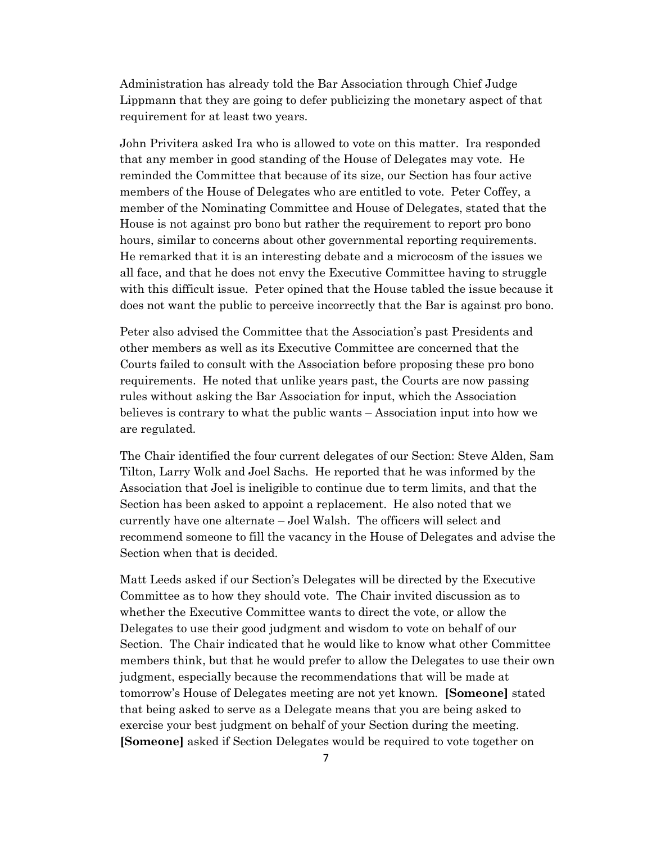Administration has already told the Bar Association through Chief Judge Lippmann that they are going to defer publicizing the monetary aspect of that requirement for at least two years.

John Privitera asked Ira who is allowed to vote on this matter. Ira responded that any member in good standing of the House of Delegates may vote. He reminded the Committee that because of its size, our Section has four active members of the House of Delegates who are entitled to vote. Peter Coffey, a member of the Nominating Committee and House of Delegates, stated that the House is not against pro bono but rather the requirement to report pro bono hours, similar to concerns about other governmental reporting requirements. He remarked that it is an interesting debate and a microcosm of the issues we all face, and that he does not envy the Executive Committee having to struggle with this difficult issue. Peter opined that the House tabled the issue because it does not want the public to perceive incorrectly that the Bar is against pro bono.

Peter also advised the Committee that the Association's past Presidents and other members as well as its Executive Committee are concerned that the Courts failed to consult with the Association before proposing these pro bono requirements. He noted that unlike years past, the Courts are now passing rules without asking the Bar Association for input, which the Association believes is contrary to what the public wants – Association input into how we are regulated.

The Chair identified the four current delegates of our Section: Steve Alden, Sam Tilton, Larry Wolk and Joel Sachs. He reported that he was informed by the Association that Joel is ineligible to continue due to term limits, and that the Section has been asked to appoint a replacement. He also noted that we currently have one alternate – Joel Walsh. The officers will select and recommend someone to fill the vacancy in the House of Delegates and advise the Section when that is decided.

Matt Leeds asked if our Section's Delegates will be directed by the Executive Committee as to how they should vote. The Chair invited discussion as to whether the Executive Committee wants to direct the vote, or allow the Delegates to use their good judgment and wisdom to vote on behalf of our Section. The Chair indicated that he would like to know what other Committee members think, but that he would prefer to allow the Delegates to use their own judgment, especially because the recommendations that will be made at tomorrow's House of Delegates meeting are not yet known. **[Someone]** stated that being asked to serve as a Delegate means that you are being asked to exercise your best judgment on behalf of your Section during the meeting. **[Someone]** asked if Section Delegates would be required to vote together on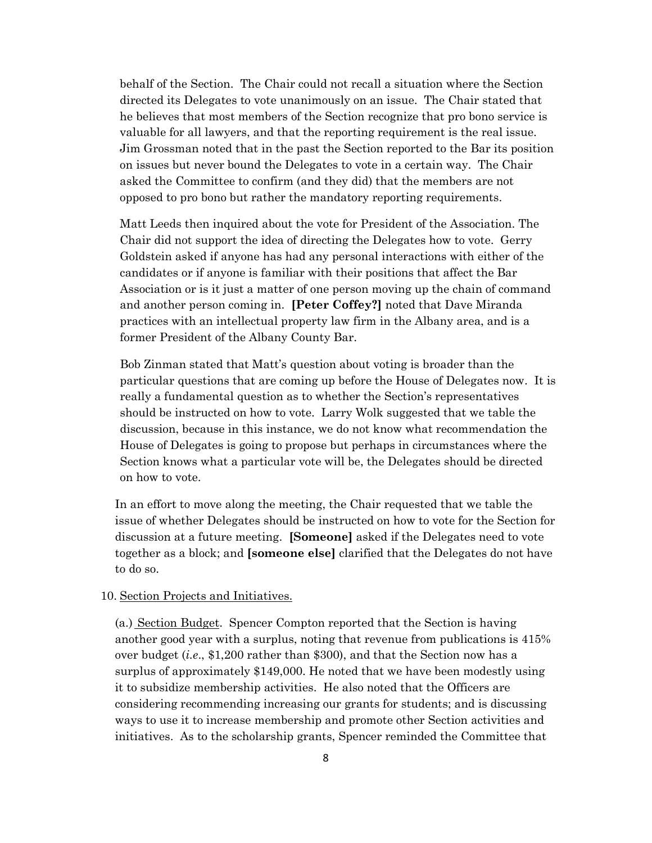behalf of the Section. The Chair could not recall a situation where the Section directed its Delegates to vote unanimously on an issue. The Chair stated that he believes that most members of the Section recognize that pro bono service is valuable for all lawyers, and that the reporting requirement is the real issue. Jim Grossman noted that in the past the Section reported to the Bar its position on issues but never bound the Delegates to vote in a certain way. The Chair asked the Committee to confirm (and they did) that the members are not opposed to pro bono but rather the mandatory reporting requirements.

Matt Leeds then inquired about the vote for President of the Association. The Chair did not support the idea of directing the Delegates how to vote. Gerry Goldstein asked if anyone has had any personal interactions with either of the candidates or if anyone is familiar with their positions that affect the Bar Association or is it just a matter of one person moving up the chain of command and another person coming in. **[Peter Coffey?]** noted that Dave Miranda practices with an intellectual property law firm in the Albany area, and is a former President of the Albany County Bar.

Bob Zinman stated that Matt's question about voting is broader than the particular questions that are coming up before the House of Delegates now. It is really a fundamental question as to whether the Section's representatives should be instructed on how to vote. Larry Wolk suggested that we table the discussion, because in this instance, we do not know what recommendation the House of Delegates is going to propose but perhaps in circumstances where the Section knows what a particular vote will be, the Delegates should be directed on how to vote.

In an effort to move along the meeting, the Chair requested that we table the issue of whether Delegates should be instructed on how to vote for the Section for discussion at a future meeting. **[Someone]** asked if the Delegates need to vote together as a block; and **[someone else]** clarified that the Delegates do not have to do so.

## 10. Section Projects and Initiatives.

(a.) Section Budget. Spencer Compton reported that the Section is having another good year with a surplus, noting that revenue from publications is 415% over budget (*i.e*., \$1,200 rather than \$300), and that the Section now has a surplus of approximately \$149,000. He noted that we have been modestly using it to subsidize membership activities. He also noted that the Officers are considering recommending increasing our grants for students; and is discussing ways to use it to increase membership and promote other Section activities and initiatives. As to the scholarship grants, Spencer reminded the Committee that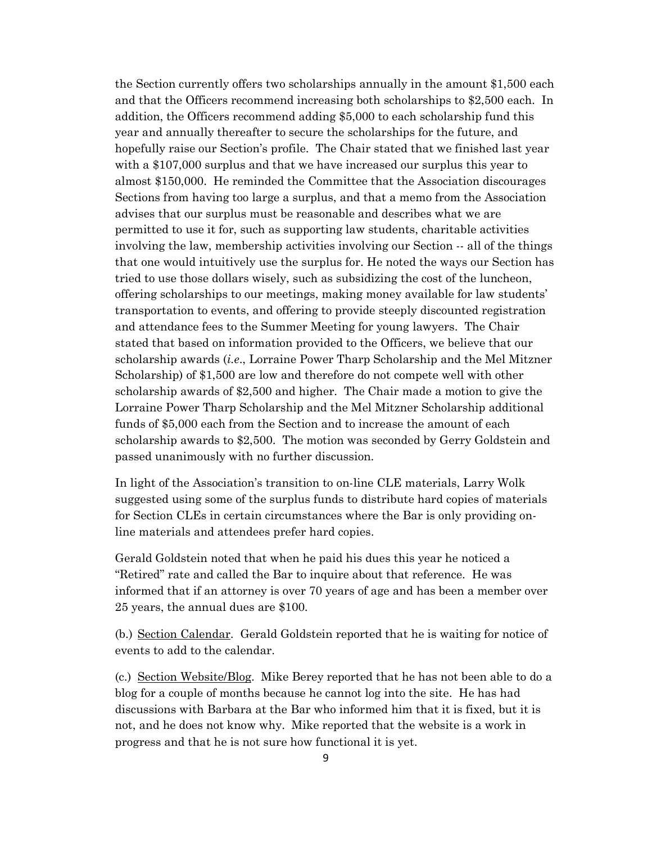the Section currently offers two scholarships annually in the amount \$1,500 each and that the Officers recommend increasing both scholarships to \$2,500 each. In addition, the Officers recommend adding \$5,000 to each scholarship fund this year and annually thereafter to secure the scholarships for the future, and hopefully raise our Section's profile. The Chair stated that we finished last year with a \$107,000 surplus and that we have increased our surplus this year to almost \$150,000. He reminded the Committee that the Association discourages Sections from having too large a surplus, and that a memo from the Association advises that our surplus must be reasonable and describes what we are permitted to use it for, such as supporting law students, charitable activities involving the law, membership activities involving our Section -- all of the things that one would intuitively use the surplus for. He noted the ways our Section has tried to use those dollars wisely, such as subsidizing the cost of the luncheon, offering scholarships to our meetings, making money available for law students' transportation to events, and offering to provide steeply discounted registration and attendance fees to the Summer Meeting for young lawyers. The Chair stated that based on information provided to the Officers, we believe that our scholarship awards (*i.e*., Lorraine Power Tharp Scholarship and the Mel Mitzner Scholarship) of \$1,500 are low and therefore do not compete well with other scholarship awards of \$2,500 and higher. The Chair made a motion to give the Lorraine Power Tharp Scholarship and the Mel Mitzner Scholarship additional funds of \$5,000 each from the Section and to increase the amount of each scholarship awards to \$2,500. The motion was seconded by Gerry Goldstein and passed unanimously with no further discussion.

In light of the Association's transition to on-line CLE materials, Larry Wolk suggested using some of the surplus funds to distribute hard copies of materials for Section CLEs in certain circumstances where the Bar is only providing online materials and attendees prefer hard copies.

Gerald Goldstein noted that when he paid his dues this year he noticed a "Retired" rate and called the Bar to inquire about that reference. He was informed that if an attorney is over 70 years of age and has been a member over 25 years, the annual dues are \$100.

(b.) Section Calendar. Gerald Goldstein reported that he is waiting for notice of events to add to the calendar.

(c.) Section Website/Blog. Mike Berey reported that he has not been able to do a blog for a couple of months because he cannot log into the site. He has had discussions with Barbara at the Bar who informed him that it is fixed, but it is not, and he does not know why. Mike reported that the website is a work in progress and that he is not sure how functional it is yet.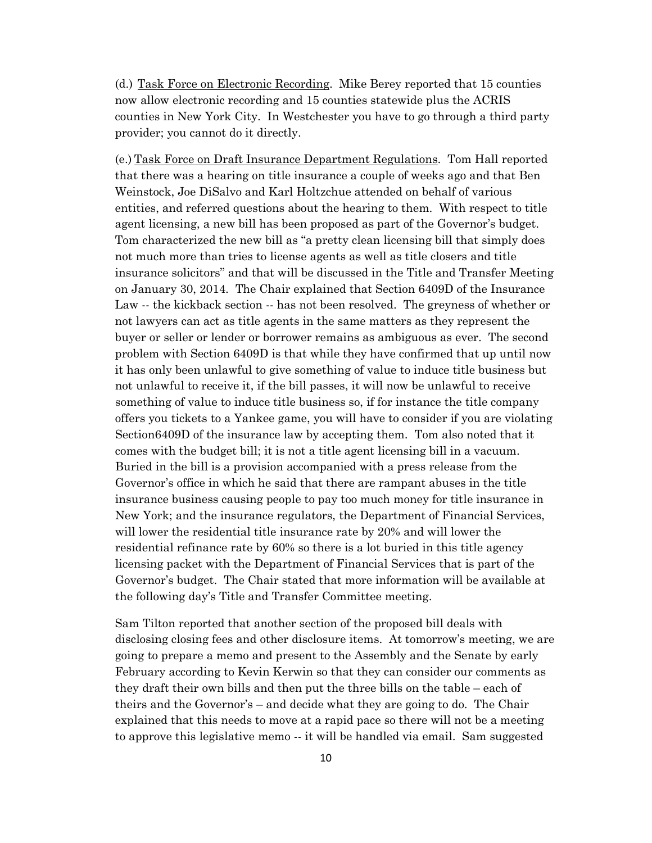(d.) Task Force on Electronic Recording. Mike Berey reported that 15 counties now allow electronic recording and 15 counties statewide plus the ACRIS counties in New York City. In Westchester you have to go through a third party provider; you cannot do it directly.

(e.) Task Force on Draft Insurance Department Regulations. Tom Hall reported that there was a hearing on title insurance a couple of weeks ago and that Ben Weinstock, Joe DiSalvo and Karl Holtzchue attended on behalf of various entities, and referred questions about the hearing to them. With respect to title agent licensing, a new bill has been proposed as part of the Governor's budget. Tom characterized the new bill as "a pretty clean licensing bill that simply does not much more than tries to license agents as well as title closers and title insurance solicitors" and that will be discussed in the Title and Transfer Meeting on January 30, 2014. The Chair explained that Section 6409D of the Insurance Law -- the kickback section -- has not been resolved. The greyness of whether or not lawyers can act as title agents in the same matters as they represent the buyer or seller or lender or borrower remains as ambiguous as ever. The second problem with Section 6409D is that while they have confirmed that up until now it has only been unlawful to give something of value to induce title business but not unlawful to receive it, if the bill passes, it will now be unlawful to receive something of value to induce title business so, if for instance the title company offers you tickets to a Yankee game, you will have to consider if you are violating Section6409D of the insurance law by accepting them. Tom also noted that it comes with the budget bill; it is not a title agent licensing bill in a vacuum. Buried in the bill is a provision accompanied with a press release from the Governor's office in which he said that there are rampant abuses in the title insurance business causing people to pay too much money for title insurance in New York; and the insurance regulators, the Department of Financial Services, will lower the residential title insurance rate by 20% and will lower the residential refinance rate by 60% so there is a lot buried in this title agency licensing packet with the Department of Financial Services that is part of the Governor's budget. The Chair stated that more information will be available at the following day's Title and Transfer Committee meeting.

Sam Tilton reported that another section of the proposed bill deals with disclosing closing fees and other disclosure items. At tomorrow's meeting, we are going to prepare a memo and present to the Assembly and the Senate by early February according to Kevin Kerwin so that they can consider our comments as they draft their own bills and then put the three bills on the table – each of theirs and the Governor's – and decide what they are going to do. The Chair explained that this needs to move at a rapid pace so there will not be a meeting to approve this legislative memo -- it will be handled via email. Sam suggested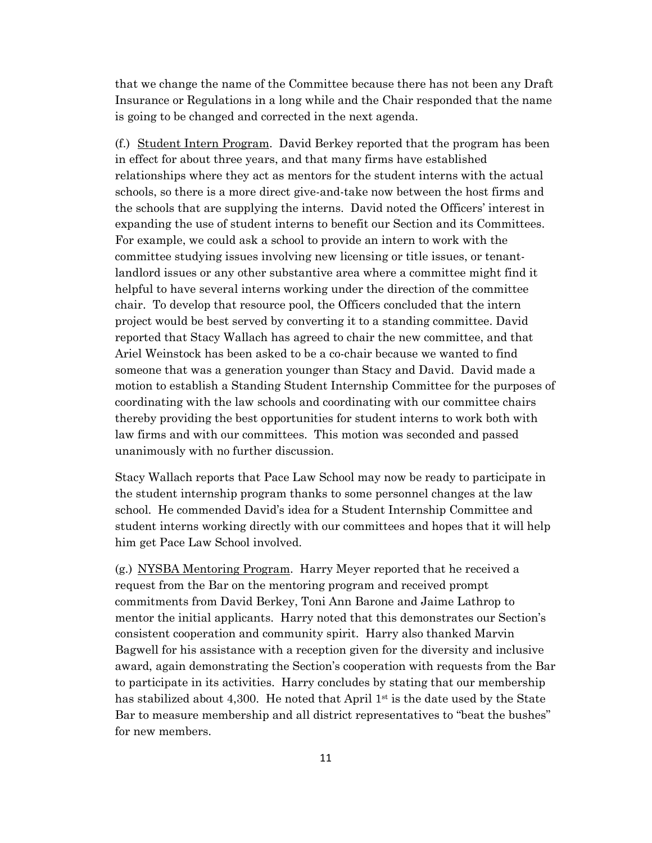that we change the name of the Committee because there has not been any Draft Insurance or Regulations in a long while and the Chair responded that the name is going to be changed and corrected in the next agenda.

(f.) Student Intern Program. David Berkey reported that the program has been in effect for about three years, and that many firms have established relationships where they act as mentors for the student interns with the actual schools, so there is a more direct give-and-take now between the host firms and the schools that are supplying the interns. David noted the Officers' interest in expanding the use of student interns to benefit our Section and its Committees. For example, we could ask a school to provide an intern to work with the committee studying issues involving new licensing or title issues, or tenantlandlord issues or any other substantive area where a committee might find it helpful to have several interns working under the direction of the committee chair. To develop that resource pool, the Officers concluded that the intern project would be best served by converting it to a standing committee. David reported that Stacy Wallach has agreed to chair the new committee, and that Ariel Weinstock has been asked to be a co-chair because we wanted to find someone that was a generation younger than Stacy and David. David made a motion to establish a Standing Student Internship Committee for the purposes of coordinating with the law schools and coordinating with our committee chairs thereby providing the best opportunities for student interns to work both with law firms and with our committees. This motion was seconded and passed unanimously with no further discussion.

Stacy Wallach reports that Pace Law School may now be ready to participate in the student internship program thanks to some personnel changes at the law school. He commended David's idea for a Student Internship Committee and student interns working directly with our committees and hopes that it will help him get Pace Law School involved.

(g.) NYSBA Mentoring Program. Harry Meyer reported that he received a request from the Bar on the mentoring program and received prompt commitments from David Berkey, Toni Ann Barone and Jaime Lathrop to mentor the initial applicants. Harry noted that this demonstrates our Section's consistent cooperation and community spirit. Harry also thanked Marvin Bagwell for his assistance with a reception given for the diversity and inclusive award, again demonstrating the Section's cooperation with requests from the Bar to participate in its activities. Harry concludes by stating that our membership has stabilized about 4,300. He noted that April  $1<sup>st</sup>$  is the date used by the State Bar to measure membership and all district representatives to "beat the bushes" for new members.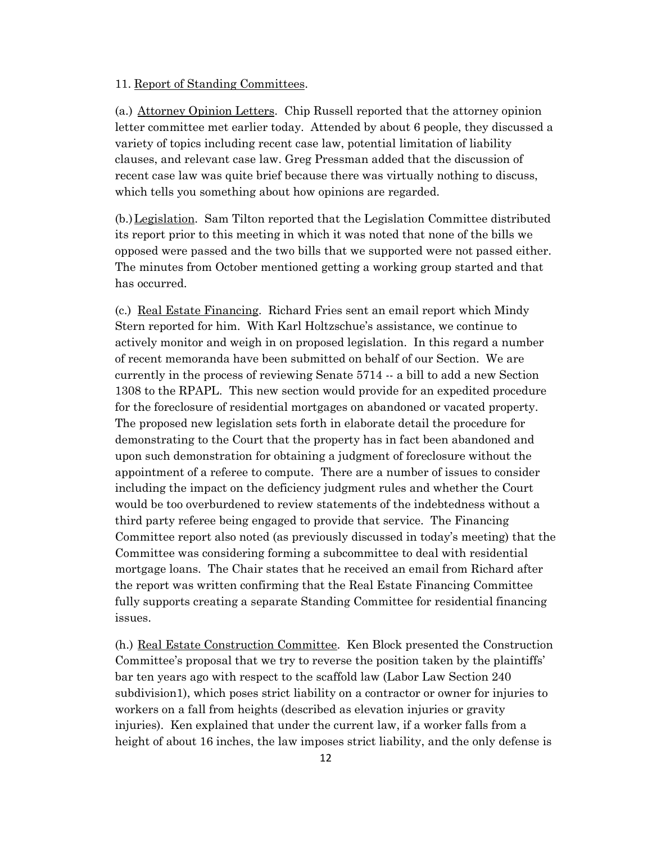### 11. Report of Standing Committees.

(a.) Attorney Opinion Letters. Chip Russell reported that the attorney opinion letter committee met earlier today. Attended by about 6 people, they discussed a variety of topics including recent case law, potential limitation of liability clauses, and relevant case law. Greg Pressman added that the discussion of recent case law was quite brief because there was virtually nothing to discuss, which tells you something about how opinions are regarded.

(b.)Legislation. Sam Tilton reported that the Legislation Committee distributed its report prior to this meeting in which it was noted that none of the bills we opposed were passed and the two bills that we supported were not passed either. The minutes from October mentioned getting a working group started and that has occurred.

(c.) Real Estate Financing. Richard Fries sent an email report which Mindy Stern reported for him. With Karl Holtzschue's assistance, we continue to actively monitor and weigh in on proposed legislation. In this regard a number of recent memoranda have been submitted on behalf of our Section. We are currently in the process of reviewing Senate 5714 -- a bill to add a new Section 1308 to the RPAPL. This new section would provide for an expedited procedure for the foreclosure of residential mortgages on abandoned or vacated property. The proposed new legislation sets forth in elaborate detail the procedure for demonstrating to the Court that the property has in fact been abandoned and upon such demonstration for obtaining a judgment of foreclosure without the appointment of a referee to compute. There are a number of issues to consider including the impact on the deficiency judgment rules and whether the Court would be too overburdened to review statements of the indebtedness without a third party referee being engaged to provide that service. The Financing Committee report also noted (as previously discussed in today's meeting) that the Committee was considering forming a subcommittee to deal with residential mortgage loans. The Chair states that he received an email from Richard after the report was written confirming that the Real Estate Financing Committee fully supports creating a separate Standing Committee for residential financing issues.

(h.) Real Estate Construction Committee. Ken Block presented the Construction Committee's proposal that we try to reverse the position taken by the plaintiffs' bar ten years ago with respect to the scaffold law (Labor Law Section 240 subdivision1), which poses strict liability on a contractor or owner for injuries to workers on a fall from heights (described as elevation injuries or gravity injuries). Ken explained that under the current law, if a worker falls from a height of about 16 inches, the law imposes strict liability, and the only defense is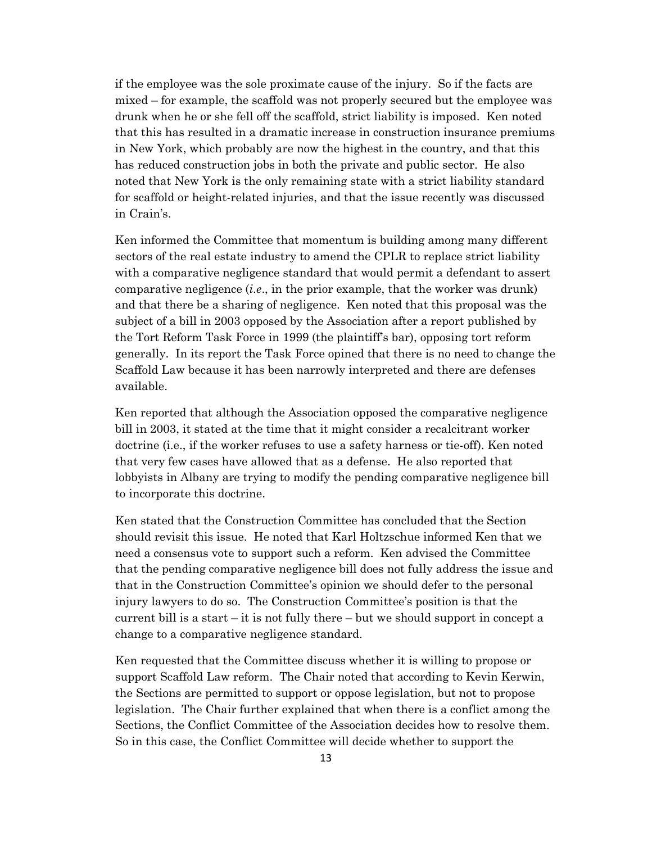if the employee was the sole proximate cause of the injury. So if the facts are mixed – for example, the scaffold was not properly secured but the employee was drunk when he or she fell off the scaffold, strict liability is imposed. Ken noted that this has resulted in a dramatic increase in construction insurance premiums in New York, which probably are now the highest in the country, and that this has reduced construction jobs in both the private and public sector. He also noted that New York is the only remaining state with a strict liability standard for scaffold or height-related injuries, and that the issue recently was discussed in Crain's.

Ken informed the Committee that momentum is building among many different sectors of the real estate industry to amend the CPLR to replace strict liability with a comparative negligence standard that would permit a defendant to assert comparative negligence (*i.e*., in the prior example, that the worker was drunk) and that there be a sharing of negligence. Ken noted that this proposal was the subject of a bill in 2003 opposed by the Association after a report published by the Tort Reform Task Force in 1999 (the plaintiff's bar), opposing tort reform generally. In its report the Task Force opined that there is no need to change the Scaffold Law because it has been narrowly interpreted and there are defenses available.

Ken reported that although the Association opposed the comparative negligence bill in 2003, it stated at the time that it might consider a recalcitrant worker doctrine (i.e., if the worker refuses to use a safety harness or tie-off). Ken noted that very few cases have allowed that as a defense. He also reported that lobbyists in Albany are trying to modify the pending comparative negligence bill to incorporate this doctrine.

Ken stated that the Construction Committee has concluded that the Section should revisit this issue. He noted that Karl Holtzschue informed Ken that we need a consensus vote to support such a reform. Ken advised the Committee that the pending comparative negligence bill does not fully address the issue and that in the Construction Committee's opinion we should defer to the personal injury lawyers to do so. The Construction Committee's position is that the current bill is a start – it is not fully there – but we should support in concept a change to a comparative negligence standard.

Ken requested that the Committee discuss whether it is willing to propose or support Scaffold Law reform. The Chair noted that according to Kevin Kerwin, the Sections are permitted to support or oppose legislation, but not to propose legislation. The Chair further explained that when there is a conflict among the Sections, the Conflict Committee of the Association decides how to resolve them. So in this case, the Conflict Committee will decide whether to support the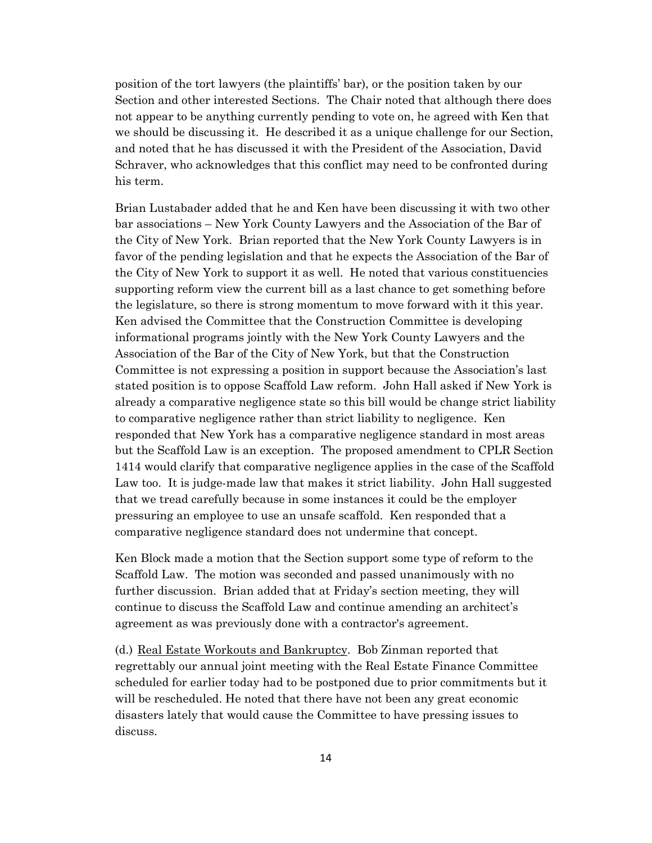position of the tort lawyers (the plaintiffs' bar), or the position taken by our Section and other interested Sections. The Chair noted that although there does not appear to be anything currently pending to vote on, he agreed with Ken that we should be discussing it. He described it as a unique challenge for our Section, and noted that he has discussed it with the President of the Association, David Schraver, who acknowledges that this conflict may need to be confronted during his term.

Brian Lustabader added that he and Ken have been discussing it with two other bar associations – New York County Lawyers and the Association of the Bar of the City of New York. Brian reported that the New York County Lawyers is in favor of the pending legislation and that he expects the Association of the Bar of the City of New York to support it as well. He noted that various constituencies supporting reform view the current bill as a last chance to get something before the legislature, so there is strong momentum to move forward with it this year. Ken advised the Committee that the Construction Committee is developing informational programs jointly with the New York County Lawyers and the Association of the Bar of the City of New York, but that the Construction Committee is not expressing a position in support because the Association's last stated position is to oppose Scaffold Law reform. John Hall asked if New York is already a comparative negligence state so this bill would be change strict liability to comparative negligence rather than strict liability to negligence. Ken responded that New York has a comparative negligence standard in most areas but the Scaffold Law is an exception. The proposed amendment to CPLR Section 1414 would clarify that comparative negligence applies in the case of the Scaffold Law too. It is judge-made law that makes it strict liability. John Hall suggested that we tread carefully because in some instances it could be the employer pressuring an employee to use an unsafe scaffold. Ken responded that a comparative negligence standard does not undermine that concept.

Ken Block made a motion that the Section support some type of reform to the Scaffold Law. The motion was seconded and passed unanimously with no further discussion. Brian added that at Friday's section meeting, they will continue to discuss the Scaffold Law and continue amending an architect's agreement as was previously done with a contractor's agreement.

(d.) Real Estate Workouts and Bankruptcy. Bob Zinman reported that regrettably our annual joint meeting with the Real Estate Finance Committee scheduled for earlier today had to be postponed due to prior commitments but it will be rescheduled. He noted that there have not been any great economic disasters lately that would cause the Committee to have pressing issues to discuss.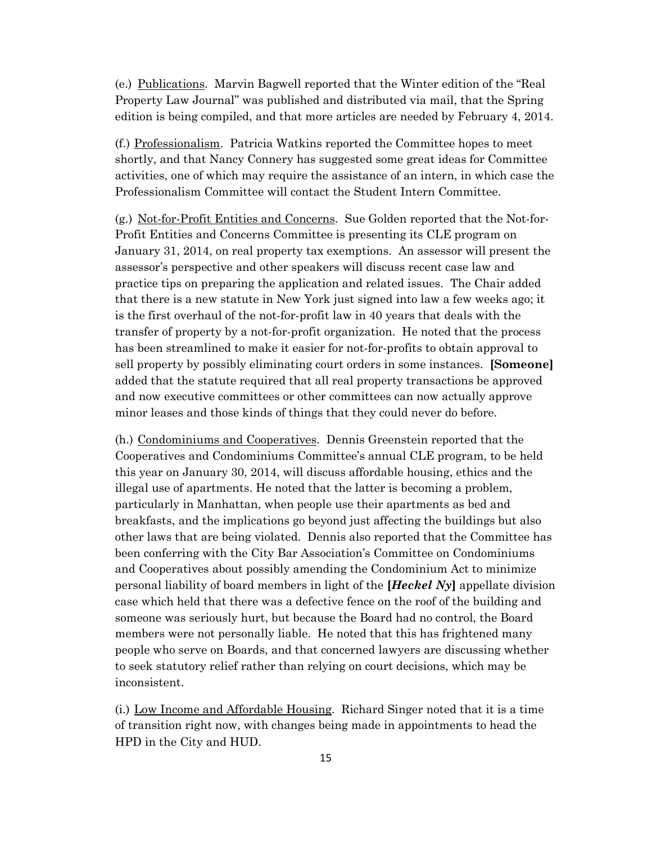(e.) Publications. Marvin Bagwell reported that the Winter edition of the "Real Property Law Journal" was published and distributed via mail, that the Spring edition is being compiled, and that more articles are needed by February 4, 2014.

(f.) Professionalism. Patricia Watkins reported the Committee hopes to meet shortly, and that Nancy Connery has suggested some great ideas for Committee activities, one of which may require the assistance of an intern, in which case the Professionalism Committee will contact the Student Intern Committee.

(g.) Not-for-Profit Entities and Concerns. Sue Golden reported that the Not-for-Profit Entities and Concerns Committee is presenting its CLE program on January 31, 2014, on real property tax exemptions. An assessor will present the assessor's perspective and other speakers will discuss recent case law and practice tips on preparing the application and related issues. The Chair added that there is a new statute in New York just signed into law a few weeks ago; it is the first overhaul of the not-for-profit law in 40 years that deals with the transfer of property by a not-for-profit organization. He noted that the process has been streamlined to make it easier for not-for-profits to obtain approval to sell property by possibly eliminating court orders in some instances. **[Someone]** added that the statute required that all real property transactions be approved and now executive committees or other committees can now actually approve minor leases and those kinds of things that they could never do before.

(h.) Condominiums and Cooperatives. Dennis Greenstein reported that the Cooperatives and Condominiums Committee's annual CLE program, to be held this year on January 30, 2014, will discuss affordable housing, ethics and the illegal use of apartments. He noted that the latter is becoming a problem, particularly in Manhattan, when people use their apartments as bed and breakfasts, and the implications go beyond just affecting the buildings but also other laws that are being violated. Dennis also reported that the Committee has been conferring with the City Bar Association's Committee on Condominiums and Cooperatives about possibly amending the Condominium Act to minimize personal liability of board members in light of the **[***Heckel Ny***]** appellate division case which held that there was a defective fence on the roof of the building and someone was seriously hurt, but because the Board had no control, the Board members were not personally liable. He noted that this has frightened many people who serve on Boards, and that concerned lawyers are discussing whether to seek statutory relief rather than relying on court decisions, which may be inconsistent.

(i.) Low Income and Affordable Housing. Richard Singer noted that it is a time of transition right now, with changes being made in appointments to head the HPD in the City and HUD.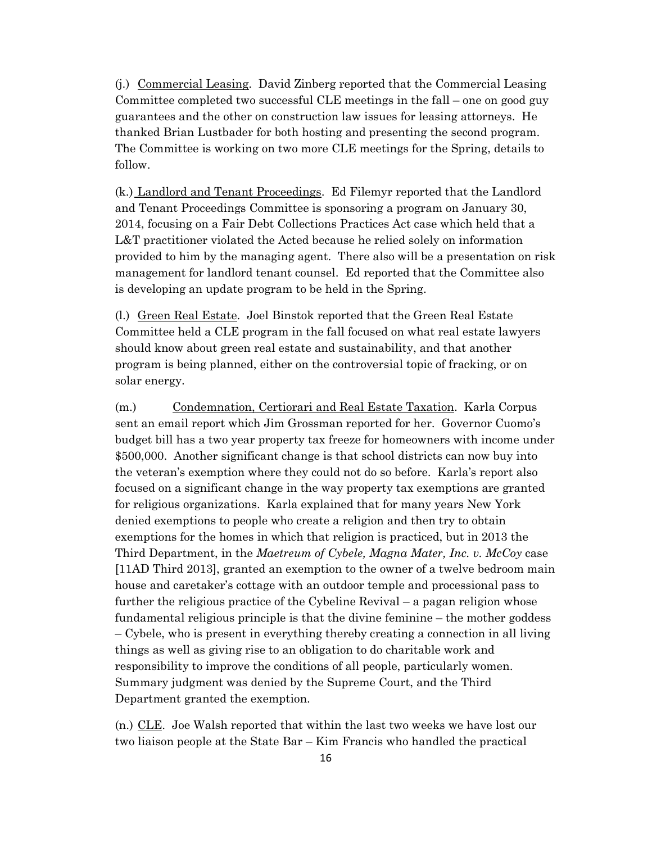(j.) Commercial Leasing. David Zinberg reported that the Commercial Leasing Committee completed two successful CLE meetings in the fall – one on good guy guarantees and the other on construction law issues for leasing attorneys. He thanked Brian Lustbader for both hosting and presenting the second program. The Committee is working on two more CLE meetings for the Spring, details to follow.

(k.) Landlord and Tenant Proceedings. Ed Filemyr reported that the Landlord and Tenant Proceedings Committee is sponsoring a program on January 30, 2014, focusing on a Fair Debt Collections Practices Act case which held that a L&T practitioner violated the Acted because he relied solely on information provided to him by the managing agent. There also will be a presentation on risk management for landlord tenant counsel. Ed reported that the Committee also is developing an update program to be held in the Spring.

(l.) Green Real Estate. Joel Binstok reported that the Green Real Estate Committee held a CLE program in the fall focused on what real estate lawyers should know about green real estate and sustainability, and that another program is being planned, either on the controversial topic of fracking, or on solar energy.

(m.) Condemnation, Certiorari and Real Estate Taxation. Karla Corpus sent an email report which Jim Grossman reported for her. Governor Cuomo's budget bill has a two year property tax freeze for homeowners with income under \$500,000. Another significant change is that school districts can now buy into the veteran's exemption where they could not do so before. Karla's report also focused on a significant change in the way property tax exemptions are granted for religious organizations. Karla explained that for many years New York denied exemptions to people who create a religion and then try to obtain exemptions for the homes in which that religion is practiced, but in 2013 the Third Department, in the *Maetreum of Cybele, Magna Mater, Inc. v. McCoy* case [11AD Third 2013], granted an exemption to the owner of a twelve bedroom main house and caretaker's cottage with an outdoor temple and processional pass to further the religious practice of the Cybeline Revival – a pagan religion whose fundamental religious principle is that the divine feminine – the mother goddess – Cybele, who is present in everything thereby creating a connection in all living things as well as giving rise to an obligation to do charitable work and responsibility to improve the conditions of all people, particularly women. Summary judgment was denied by the Supreme Court, and the Third Department granted the exemption.

(n.) CLE. Joe Walsh reported that within the last two weeks we have lost our two liaison people at the State Bar – Kim Francis who handled the practical